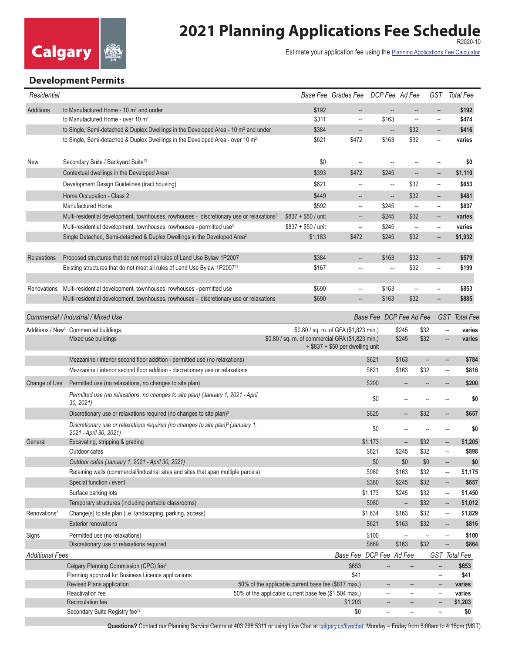

## **2021 Planning Applications Fee Schedule**

Estimate your application fee using the [Planning Applications Fee Calculator](https://www.calgary.ca/PDA/pd/Pages/Permits/Fee-Calculator-Planning-Applications.aspx)

## **Development Permits**

| Residential                         |                                                                                                                        |                                                       | Base Fee Grades Fee DCP Fee Ad Fee    |                          |                          |                          | GST Total Fee                                       |         |
|-------------------------------------|------------------------------------------------------------------------------------------------------------------------|-------------------------------------------------------|---------------------------------------|--------------------------|--------------------------|--------------------------|-----------------------------------------------------|---------|
| <b>Additions</b>                    | to Manufactured Home - $10 \text{ m}^2$ and under                                                                      | \$192                                                 |                                       |                          | $\overline{\phantom{a}}$ | $\overline{\phantom{a}}$ |                                                     | \$192   |
|                                     | to Manufactured Home - over 10 $m2$                                                                                    | \$311                                                 | $\overline{\phantom{a}}$              | \$163                    | $\overline{\phantom{a}}$ | $\overline{\phantom{a}}$ |                                                     | \$474   |
|                                     | to Single, Semi-detached & Duplex Dwellings in the Developed Area - 10 m <sup>2</sup> and under                        | \$384                                                 | --                                    | --                       | \$32                     | $\overline{\phantom{a}}$ |                                                     | \$416   |
|                                     | to Single, Semi-detached & Duplex Dwellings in the Developed Area - over 10 m <sup>2</sup>                             | \$621                                                 | \$472                                 | \$163                    | \$32                     | $\overline{\phantom{a}}$ |                                                     | varies  |
| New                                 | Secondary Suite / Backyard Suite <sup>12</sup>                                                                         | \$0                                                   | $\overline{\phantom{a}}$              | $\overline{\phantom{a}}$ | $\overline{\phantom{a}}$ | $\overline{\phantom{a}}$ |                                                     | \$0     |
|                                     | Contextual dwellings in the Developed Area <sup>2</sup>                                                                | \$393                                                 | \$472                                 | \$245                    | --                       | --                       |                                                     | \$1,110 |
|                                     | Development Design Guidelines (tract housing)                                                                          | \$621                                                 | --                                    | $\overline{\phantom{a}}$ | \$32                     | $\overline{\phantom{a}}$ |                                                     | \$653   |
|                                     | Home Occupation - Class 2                                                                                              | \$449                                                 | --                                    | --                       | \$32                     | $\overline{\phantom{a}}$ |                                                     | \$481   |
|                                     | Manufactured Home                                                                                                      | \$592                                                 | $\overline{\phantom{a}}$              | \$245                    | $\overline{\phantom{a}}$ | $\hspace{0.05cm} \ldots$ |                                                     | \$837   |
|                                     | Multi-residential development, townhouses, rowhouses - discretionary use or relaxations <sup>3</sup>                   | $$837 + $50 /$ unit                                   | --                                    | \$245                    | \$32                     | $\overline{\phantom{a}}$ |                                                     | varies  |
|                                     | Multi-residential development, townhouses, rowhouses - permitted use <sup>3</sup>                                      | $$837 + $50 /$ unit                                   | $\overline{\phantom{a}}$              | \$245                    | $\overline{\phantom{a}}$ | $\overline{\phantom{a}}$ |                                                     | varies  |
|                                     | Single Detached, Semi-detached & Duplex Dwellings in the Developed Area <sup>2</sup>                                   | \$1,183                                               | \$472                                 | \$245                    | \$32                     | $\overline{\phantom{a}}$ |                                                     | \$1,932 |
|                                     |                                                                                                                        |                                                       |                                       |                          |                          |                          |                                                     |         |
| <b>Relaxations</b>                  | Proposed structures that do not meet all rules of Land Use Bylaw 1P2007                                                | \$384                                                 | --                                    | \$163                    | \$32                     | $\overline{\phantom{a}}$ |                                                     | \$579   |
|                                     | Existing structures that do not meet all rules of Land Use Bylaw 1P2007 <sup>11</sup>                                  | \$167                                                 | --                                    | $\overline{\phantom{a}}$ | \$32                     | $\overline{\phantom{a}}$ |                                                     | \$199   |
| Renovations                         | Multi-residential development, townhouses, rowhouses - permitted use                                                   | \$690                                                 | --                                    | \$163                    | $\overline{\phantom{a}}$ | $\overline{\phantom{a}}$ |                                                     | \$853   |
|                                     | Multi-residential development, townhouses, rowhouses - discretionary use or relaxations                                | \$690                                                 |                                       | \$163                    | \$32                     | --                       |                                                     | \$885   |
|                                     |                                                                                                                        |                                                       |                                       |                          |                          |                          |                                                     |         |
| Commercial / Industrial / Mixed Use |                                                                                                                        |                                                       |                                       | Base Fee DCP Fee Ad Fee  |                          |                          | GST Total Fee                                       |         |
|                                     | Additions / New <sup>3</sup> Commercial buildings                                                                      |                                                       | \$0.80 / sq. m. of GFA (\$1,823 min.) |                          | \$245                    | \$32                     | --                                                  | varies  |
|                                     | Mixed use buildings                                                                                                    | \$0.80 / sq. m. of commercial GFA (\$1,823 min.)      | + \$837 + \$50 per dwelling unit      |                          | \$245                    | \$32                     | $\overline{\phantom{a}}$                            | varies  |
|                                     | Mezzanine / interior second floor addition - permitted use (no relaxations)                                            |                                                       |                                       | \$621                    | \$163                    | $\overline{\phantom{a}}$ | --                                                  | \$784   |
|                                     | Mezzanine / interior second floor addition - discretionary use or relaxations                                          |                                                       |                                       | \$621                    | \$163                    | \$32                     | --                                                  | \$816   |
| Change of Use                       | Permitted use (no relaxations, no changes to site plan)                                                                |                                                       |                                       | \$200                    |                          |                          |                                                     | \$200   |
|                                     | Permitted use (no relaxations, no changes to site plan) (January 1, 2021 - April<br>30, 2021                           |                                                       |                                       | \$0                      |                          |                          | --                                                  | \$0     |
|                                     | Discretionary use or relaxations required (no changes to site plan) <sup>3</sup>                                       |                                                       |                                       | \$625                    | $\overline{\phantom{a}}$ | \$32                     | --                                                  | \$657   |
|                                     | Discretionary use or relaxations required (no changes to site plan) <sup>3</sup> (January 1,<br>2021 - April 30, 2021) |                                                       |                                       | \$0                      | --                       | $\overline{\phantom{a}}$ | --                                                  | \$0     |
| General                             | Excavating, stripping & grading                                                                                        |                                                       |                                       | \$1,173                  |                          | \$32                     |                                                     | \$1,205 |
|                                     | Outdoor cafes                                                                                                          |                                                       |                                       | \$621                    | \$245                    | \$32                     | --                                                  | \$898   |
|                                     | Outdoor cafes (January 1, 2021 - April 30, 2021)                                                                       |                                                       |                                       | \$0                      | \$0                      | \$0                      |                                                     | \$0     |
|                                     | Retaining walls (commercial/industrial sites and sites that span multiple parcels)                                     |                                                       |                                       | \$980                    | \$163                    | \$32                     | --                                                  | \$1,175 |
|                                     | Special function / event                                                                                               |                                                       |                                       | \$380                    | \$245                    | \$32                     | --                                                  | \$657   |
|                                     | Surface parking lots                                                                                                   |                                                       |                                       | \$1,173                  | \$245                    | \$32                     | $\overline{\phantom{a}}$                            | \$1,450 |
|                                     | Temporary structures (including portable classrooms)                                                                   |                                                       |                                       | \$980                    | $\qquad \qquad \cdots$   | \$32                     | --                                                  | \$1,012 |
| Renovations <sup>3</sup>            | Change(s) to site plan (i.e. landscaping, parking, access)                                                             |                                                       |                                       | \$1,634                  | \$163                    | \$32                     | $\overline{\phantom{a}}$                            | \$1,829 |
|                                     | <b>Exterior renovations</b>                                                                                            |                                                       |                                       | \$621                    | \$163                    | \$32                     | $\overline{\phantom{a}}$                            | \$816   |
| Signs                               | Permitted use (no relaxations)                                                                                         |                                                       |                                       | \$100                    | $\overline{\phantom{a}}$ | $\overline{\phantom{a}}$ | $\hspace{0.05cm} -\hspace{0.05cm} -\hspace{0.05cm}$ | \$100   |
|                                     | Discretionary use or relaxations required                                                                              |                                                       |                                       | \$669                    | \$163                    | \$32                     | --                                                  | \$864   |
| <b>Additional Fees</b>              |                                                                                                                        |                                                       | Base Fee DCP Fee Ad Fee               |                          |                          |                          | GST Total Fee                                       |         |
|                                     | Calgary Planning Commission (CPC) fee <sup>3</sup>                                                                     |                                                       | \$653                                 |                          |                          | --                       |                                                     | \$653   |
|                                     | Planning approval for Business Licence applications                                                                    |                                                       | \$41                                  |                          |                          | --                       |                                                     | \$41    |
|                                     | Revised Plans application<br>50% of the applicable current base fee (\$817 max.)                                       |                                                       |                                       |                          | --                       | --                       |                                                     | varies  |
|                                     | Reactivation fee                                                                                                       | 50% of the applicable current base fee (\$1,504 max.) |                                       | --                       | --                       | --                       |                                                     | varies  |
|                                     | Recirculation fee                                                                                                      |                                                       | \$1,203                               | --                       | $\overline{\phantom{a}}$ | --                       |                                                     | \$1,203 |
|                                     | Secondary Suite Registry fee <sup>12</sup>                                                                             |                                                       | \$0                                   | --                       | --                       | --                       |                                                     | \$0     |

**Questions?** Contact our Planning Service Centre at 403 268 5311 or using Live Chat at [calgary.ca/livechat,](http://calgary.ca/livechat) Monday – Friday from 8:00am to 4:15pm (MST)